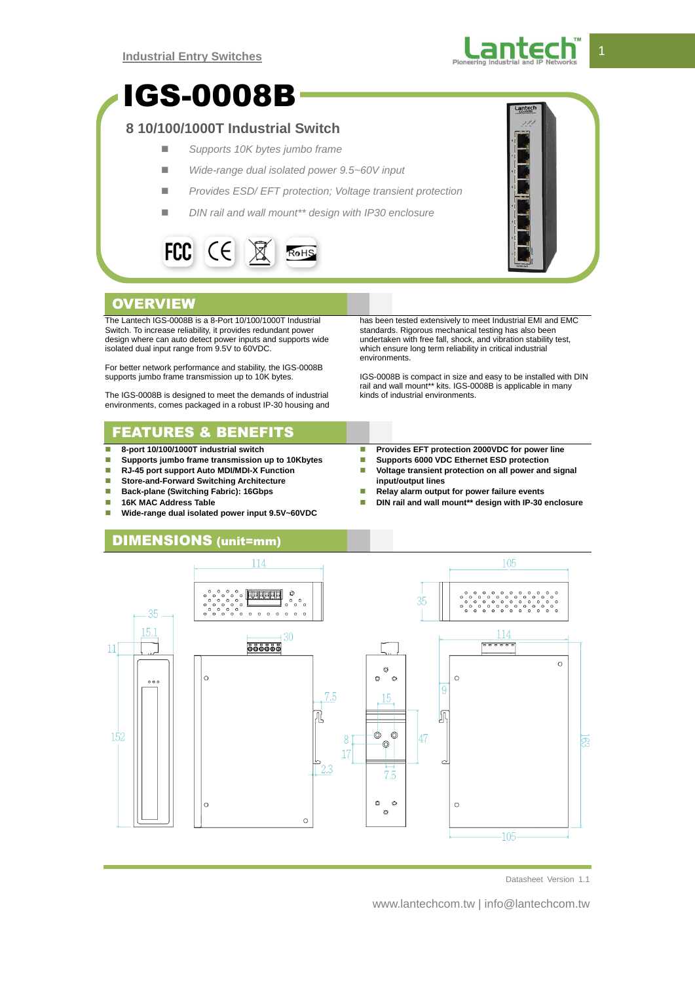

# IGS-0008B

## **8 10/100/1000T Industrial Switch**

- *Supports 10K bytes jumbo frame*
- *Wide-range dual isolated power 9.5~60V input*
- *Provides ESD/ EFT protection; Voltage transient protection*
- *DIN rail and wall mount\*\* design with IP30 enclosure*





## **OVERVIEW**

The Lantech IGS-0008B is a 8-Port 10/100/1000T Industrial Switch. To increase reliability, it provides redundant power design where can auto detect power inputs and supports wide isolated dual input range from 9.5V to 60VDC.

For better network performance and stability, the IGS-0008B supports jumbo frame transmission up to 10K bytes.

The IGS-0008B is designed to meet the demands of industrial environments, comes packaged in a robust IP-30 housing and

# FEATURES & BENEFITS

- **8-port 10/100/1000T industrial switch**
- **Supports jumbo frame transmission up to 10Kbytes**
- **RJ-45 port support Auto MDI/MDI-X Function**
- **Store-and-Forward Switching Architecture**<br>**Back-plane (Switching Fabric): 16Gbps**
- **Back-plane (Switching Fabric): 16Gbps**
- **16K MAC Address Table**
- **Wide-range dual isolated power input 9.5V~60VDC**

has been tested extensively to meet Industrial EMI and EMC standards. Rigorous mechanical testing has also been undertaken with free fall, shock, and vibration stability test, which ensure long term reliability in critical industrial environments.

IGS-0008B is compact in size and easy to be installed with DIN rail and wall mount\*\* kits. IGS-0008B is applicable in many kinds of industrial environments.

- **Provides EFT protection 2000VDC for power line**<br>**Reports 6000 VDC Ethernet ESD protection**
- **Supports 6000 VDC Ethernet ESD protection**
- **Voltage transient protection on all power and signal input/output lines**
- **Relay alarm output for power failure events**
- **DIN rail and wall mount\*\* design with IP-30 enclosure**

### DIMENSIONS (unit=mm)



Datasheet Version 1.1

www.lantechcom.tw | info@lantechcom.tw